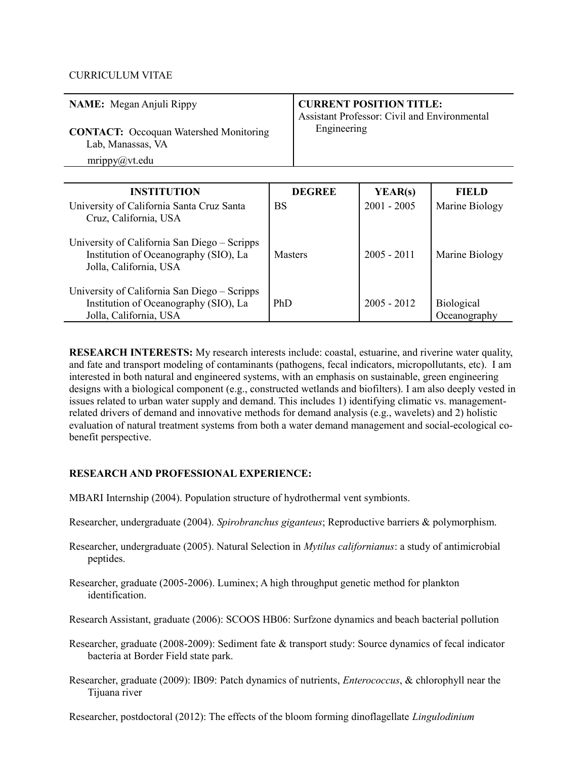### CURRICULUM VITAE

| NAME: Megan Anjuli Rippy                                                            | <b>CURRENT POSITION TITLE:</b><br><b>Assistant Professor: Civil and Environmental</b> |
|-------------------------------------------------------------------------------------|---------------------------------------------------------------------------------------|
| <b>CONTACT:</b> Occoquan Watershed Monitoring<br>Lab, Manassas, VA<br>mrippy@vt.edu | Engineering                                                                           |

| <b>INSTITUTION</b>                                                                                              | <b>DEGREE</b>  | YEAR(s)       | <b>FIELD</b>               |
|-----------------------------------------------------------------------------------------------------------------|----------------|---------------|----------------------------|
| University of California Santa Cruz Santa<br>Cruz, California, USA                                              | BS             | $2001 - 2005$ | Marine Biology             |
| University of California San Diego – Scripps<br>Institution of Oceanography (SIO), La<br>Jolla, California, USA | <b>Masters</b> | $2005 - 2011$ | Marine Biology             |
| University of California San Diego – Scripps<br>Institution of Oceanography (SIO), La<br>Jolla, California, USA | PhD            | $2005 - 2012$ | Biological<br>Oceanography |

**RESEARCH INTERESTS:** My research interests include: coastal, estuarine, and riverine water quality, and fate and transport modeling of contaminants (pathogens, fecal indicators, micropollutants, etc). I am interested in both natural and engineered systems, with an emphasis on sustainable, green engineering designs with a biological component (e.g., constructed wetlands and biofilters). I am also deeply vested in issues related to urban water supply and demand. This includes 1) identifying climatic vs. managementrelated drivers of demand and innovative methods for demand analysis (e.g., wavelets) and 2) holistic evaluation of natural treatment systems from both a water demand management and social-ecological cobenefit perspective.

# **RESEARCH AND PROFESSIONAL EXPERIENCE:**

- MBARI Internship (2004). Population structure of hydrothermal vent symbionts.
- Researcher, undergraduate (2004). *Spirobranchus giganteus*; Reproductive barriers & polymorphism.
- Researcher, undergraduate (2005). Natural Selection in *Mytilus californianus*: a study of antimicrobial peptides.
- Researcher, graduate (2005-2006). Luminex; A high throughput genetic method for plankton identification.
- Research Assistant, graduate (2006): SCOOS HB06: Surfzone dynamics and beach bacterial pollution
- Researcher, graduate (2008-2009): Sediment fate & transport study: Source dynamics of fecal indicator bacteria at Border Field state park.
- Researcher, graduate (2009): IB09: Patch dynamics of nutrients, *Enterococcus*, & chlorophyll near the Tijuana river

Researcher, postdoctoral (2012): The effects of the bloom forming dinoflagellate *Lingulodinium*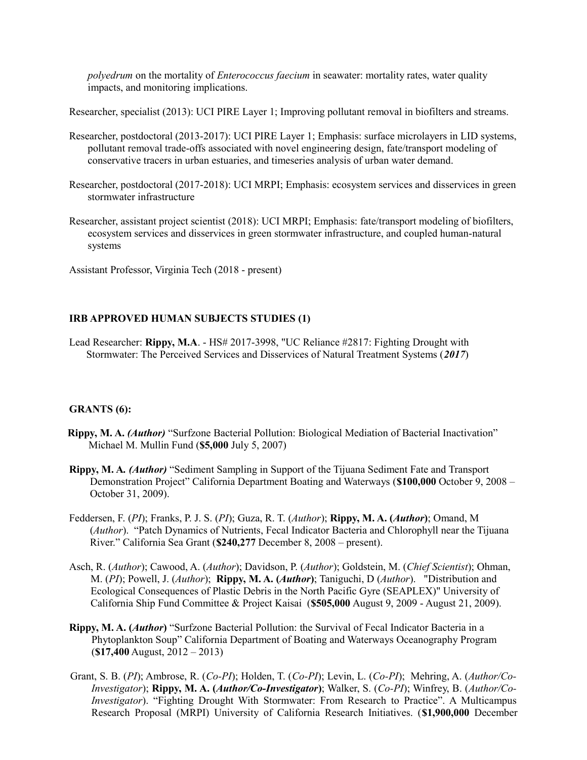*polyedrum* on the mortality of *Enterococcus faecium* in seawater: mortality rates, water quality impacts, and monitoring implications.

Researcher, specialist (2013): UCI PIRE Layer 1; Improving pollutant removal in biofilters and streams.

- Researcher, postdoctoral (2013-2017): UCI PIRE Layer 1; Emphasis: surface microlayers in LID systems, pollutant removal trade-offs associated with novel engineering design, fate/transport modeling of conservative tracers in urban estuaries, and timeseries analysis of urban water demand.
- Researcher, postdoctoral (2017-2018): UCI MRPI; Emphasis: ecosystem services and disservices in green stormwater infrastructure
- Researcher, assistant project scientist (2018): UCI MRPI; Emphasis: fate/transport modeling of biofilters, ecosystem services and disservices in green stormwater infrastructure, and coupled human-natural systems

Assistant Professor, Virginia Tech (2018 - present)

### **IRB APPROVED HUMAN SUBJECTS STUDIES (1)**

Lead Researcher: **Rippy, M.A**. - HS# 2017-3998, "UC Reliance #2817: Fighting Drought with Stormwater: The Perceived Services and Disservices of Natural Treatment Systems (*2017*)

#### **GRANTS (6):**

- **Rippy, M. A.** *(Author)* "Surfzone Bacterial Pollution: Biological Mediation of Bacterial Inactivation" Michael M. Mullin Fund (**\$5,000** July 5, 2007)
- **Rippy, M. A***. (Author)* "Sediment Sampling in Support of the Tijuana Sediment Fate and Transport Demonstration Project" California Department Boating and Waterways (**\$100,000** October 9, 2008 – October 31, 2009).
- Feddersen, F. (*PI*); Franks, P. J. S. (*PI*); Guza, R. T. (*Author*); **Rippy, M. A. (***Author***)**; Omand, M (*Author*). "Patch Dynamics of Nutrients, Fecal Indicator Bacteria and Chlorophyll near the Tijuana River." California Sea Grant (**\$240,277** December 8, 2008 – present).
- Asch, R. (*Author*); Cawood, A. (*Author*); Davidson, P. (*Author*); Goldstein, M. (*Chief Scientist*); Ohman, M. (*PI*); Powell, J. (*Author*); **Rippy, M. A. (***Author***)**; Taniguchi, D (*Author*). "Distribution and Ecological Consequences of Plastic Debris in the North Pacific Gyre (SEAPLEX)" University of California Ship Fund Committee & Project Kaisai (**\$505,000** August 9, 2009 - August 21, 2009).
- **Rippy, M. A. (***Author***)** "Surfzone Bacterial Pollution: the Survival of Fecal Indicator Bacteria in a Phytoplankton Soup" California Department of Boating and Waterways Oceanography Program (**\$17,400** August, 2012 – 2013)
- Grant, S. B. (*PI*); Ambrose, R. (*Co-PI*); Holden, T. (*Co-PI*); Levin, L. (*Co-PI*); Mehring, A. (*Author/Co-Investigator*); **Rippy, M. A. (***Author/Co-Investigator***)**; Walker, S. (*Co-PI*); Winfrey, B. (*Author/Co-Investigator*). "Fighting Drought With Stormwater: From Research to Practice". A Multicampus Research Proposal (MRPI) University of California Research Initiatives. (**\$1,900,000** December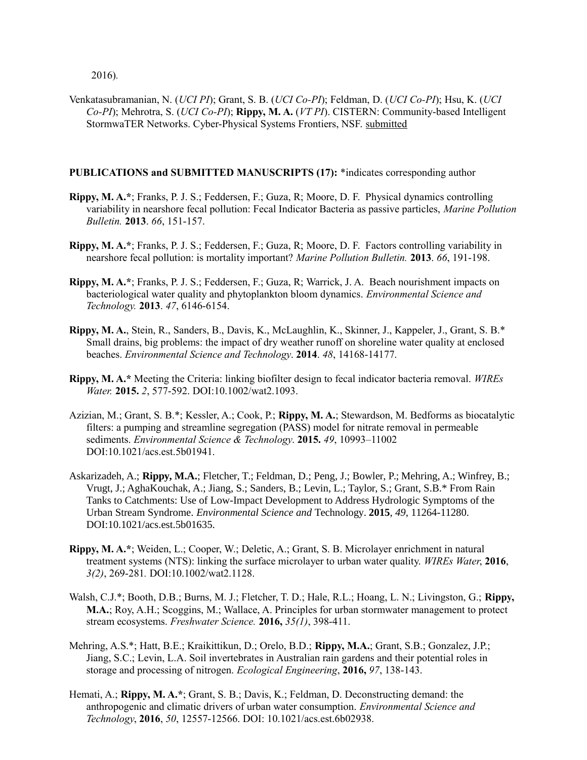2016)*.*

Venkatasubramanian, N. (*UCI PI*); Grant, S. B. (*UCI Co-PI*); Feldman, D. (*UCI Co-PI*); Hsu, K. (*UCI Co-PI*); Mehrotra, S. (*UCI Co-PI*); **Rippy, M. A.** (*VT PI*). CISTERN: Community-based Intelligent StormwaTER Networks. Cyber-Physical Systems Frontiers, NSF. submitted

### **PUBLICATIONS and SUBMITTED MANUSCRIPTS (17):** \*indicates corresponding author

- **Rippy, M. A.\***; Franks, P. J. S.; Feddersen, F.; Guza, R; Moore, D. F. Physical dynamics controlling variability in nearshore fecal pollution: Fecal Indicator Bacteria as passive particles, *Marine Pollution Bulletin.* **2013**. *66*, 151-157.
- **Rippy, M. A.\***; Franks, P. J. S.; Feddersen, F.; Guza, R; Moore, D. F. Factors controlling variability in nearshore fecal pollution: is mortality important? *Marine Pollution Bulletin.* **2013**. *66*, 191-198.
- **Rippy, M. A.\***; Franks, P. J. S.; Feddersen, F.; Guza, R; Warrick, J. A. Beach nourishment impacts on bacteriological water quality and phytoplankton bloom dynamics. *Environmental Science and Technology.* **2013**. *47*, 6146-6154.
- **Rippy, M. A.**, Stein, R., Sanders, B., Davis, K., McLaughlin, K., Skinner, J., Kappeler, J., Grant, S. B.\* Small drains, big problems: the impact of dry weather runoff on shoreline water quality at enclosed beaches. *Environmental Science and Technology*. **2014**. *48*, 14168-14177.
- **Rippy, M. A.\*** Meeting the Criteria: linking biofilter design to fecal indicator bacteria removal. *WIREs Water.* **2015.** *2*, 577-592. DOI:10.1002/wat2.1093.
- Azizian, M.; Grant, S. B.\*; Kessler, A.; Cook, P.; **Rippy, M. A.**; Stewardson, M. Bedforms as biocatalytic filters: a pumping and streamline segregation (PASS) model for nitrate removal in permeable sediments. *Environmental Science & Technology*. **2015.** *49*, 10993–11002 DOI:10.1021/acs.est.5b01941.
- Askarizadeh, A.; **Rippy, M.A.**; Fletcher, T.; Feldman, D.; Peng, J.; Bowler, P.; Mehring, A.; Winfrey, B.; Vrugt, J.; AghaKouchak, A.; Jiang, S.; Sanders, B.; Levin, L.; Taylor, S.; Grant, S.B.\* From Rain Tanks to Catchments: Use of Low-Impact Development to Address Hydrologic Symptoms of the Urban Stream Syndrome. *Environmental Science and* Technology. **2015**, *49*, 11264-11280. DOI:10.1021/acs.est.5b01635.
- **Rippy, M. A.\***; Weiden, L.; Cooper, W.; Deletic, A.; Grant, S. B. Microlayer enrichment in natural treatment systems (NTS): linking the surface microlayer to urban water quality. *WIREs Water*, **2016**, *3(2)*, 269-281*.* DOI:10.1002/wat2.1128.
- Walsh, C.J.\*; Booth, D.B.; Burns, M. J.; Fletcher, T. D.; Hale, R.L.; Hoang, L. N.; Livingston, G.; **Rippy, M.A.**; Roy, A.H.; Scoggins, M.; Wallace, A. Principles for urban stormwater management to protect stream ecosystems. *Freshwater Science.* **2016,** *35(1)*, 398-411.
- Mehring, A.S.\*; Hatt, B.E.; Kraikittikun, D.; Orelo, B.D.; **Rippy, M.A.**; Grant, S.B.; Gonzalez, J.P.; Jiang, S.C.; Levin, L.A. Soil invertebrates in Australian rain gardens and their potential roles in storage and processing of nitrogen. *Ecological Engineering*, **2016,** *97*, 138-143.
- Hemati, A.; **Rippy, M. A.\***; Grant, S. B.; Davis, K.; Feldman, D. Deconstructing demand: the anthropogenic and climatic drivers of urban water consumption. *Environmental Science and Technology*, **2016**, *50*, 12557-12566. DOI: 10.1021/acs.est.6b02938.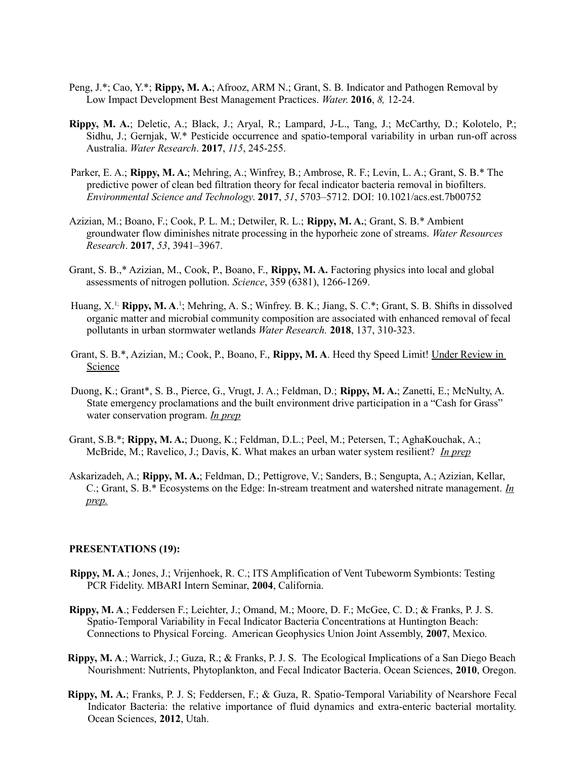- Peng, J.\*; Cao, Y.\*; **Rippy, M. A.**; Afrooz, ARM N.; Grant, S. B. Indicator and Pathogen Removal by Low Impact Development Best Management Practices. *Water*. **2016**, *8,* 12-24.
- **Rippy, M. A.**; Deletic, A.; Black, J.; Aryal, R.; Lampard, J-L., Tang, J.; McCarthy, D.; Kolotelo, P.; Sidhu, J.; Gernjak, W.\* Pesticide occurrence and spatio-temporal variability in urban run-off across Australia. *Water Research*. **2017**, *115*, 245-255.
- Parker, E. A.; **Rippy, M. A.**; Mehring, A.; Winfrey, B.; Ambrose, R. F.; Levin, L. A.; Grant, S. B.\* The predictive power of clean bed filtration theory for fecal indicator bacteria removal in biofilters. *Environmental Science and Technology*. **2017**, *51*, 5703–5712. DOI: 10.1021/acs.est.7b00752
- Azizian, M.; Boano, F.; Cook, P. L. M.; Detwiler, R. L.; **Rippy, M. A.**; Grant, S. B.\* Ambient groundwater flow diminishes nitrate processing in the hyporheic zone of streams. *Water Resources Research*. **2017**, *53*, 3941–3967.
- Grant, S. B.,\* Azizian, M., Cook, P., Boano, F., **Rippy, M. A.** Factoring physics into local and global assessments of nitrogen pollution. *Science*, 359 (6381), 1266-1269.
- Huang, X.<sup>1;</sup> Rippy, M. A.<sup>1</sup>; Mehring, A. S.; Winfrey. B. K.; Jiang, S. C.\*; Grant, S. B. Shifts in dissolved organic matter and microbial community composition are associated with enhanced removal of fecal pollutants in urban stormwater wetlands *Water Research.* **2018**, 137, 310-323.
- Grant, S. B.\*, Azizian, M.; Cook, P., Boano, F., **Rippy, M. A**. Heed thy Speed Limit! Under Review in Science
- Duong, K.; Grant\*, S. B., Pierce, G., Vrugt, J. A.; Feldman, D.; **Rippy, M. A.**; Zanetti, E.; McNulty, A. State emergency proclamations and the built environment drive participation in a "Cash for Grass" water conservation program. *In prep*
- Grant, S.B.\*; **Rippy, M. A.**; Duong, K.; Feldman, D.L.; Peel, M.; Petersen, T.; AghaKouchak, A.; McBride, M.; Ravelico, J.; Davis, K. What makes an urban water system resilient? *In prep*
- Askarizadeh, A.; **Rippy, M. A.**; Feldman, D.; Pettigrove, V.; Sanders, B.; Sengupta, A.; Azizian, Kellar, C.; Grant, S. B.\* Ecosystems on the Edge: In-stream treatment and watershed nitrate management. *In prep.*

#### **PRESENTATIONS (19):**

- **Rippy, M. A**.; Jones, J.; Vrijenhoek, R. C.; ITS Amplification of Vent Tubeworm Symbionts: Testing PCR Fidelity. MBARI Intern Seminar, **2004**, California.
- **Rippy, M. A**.; Feddersen F.; Leichter, J.; Omand, M.; Moore, D. F.; McGee, C. D.; & Franks, P. J. S. Spatio-Temporal Variability in Fecal Indicator Bacteria Concentrations at Huntington Beach: Connections to Physical Forcing. American Geophysics Union Joint Assembly, **2007**, Mexico.
- **Rippy, M. A**.; Warrick, J.; Guza, R.; & Franks, P. J. S. The Ecological Implications of a San Diego Beach Nourishment: Nutrients, Phytoplankton, and Fecal Indicator Bacteria. Ocean Sciences, **2010**, Oregon.
- **Rippy, M. A.**; Franks, P. J. S; Feddersen, F.; & Guza, R. Spatio-Temporal Variability of Nearshore Fecal Indicator Bacteria: the relative importance of fluid dynamics and extra-enteric bacterial mortality. Ocean Sciences, **2012**, Utah.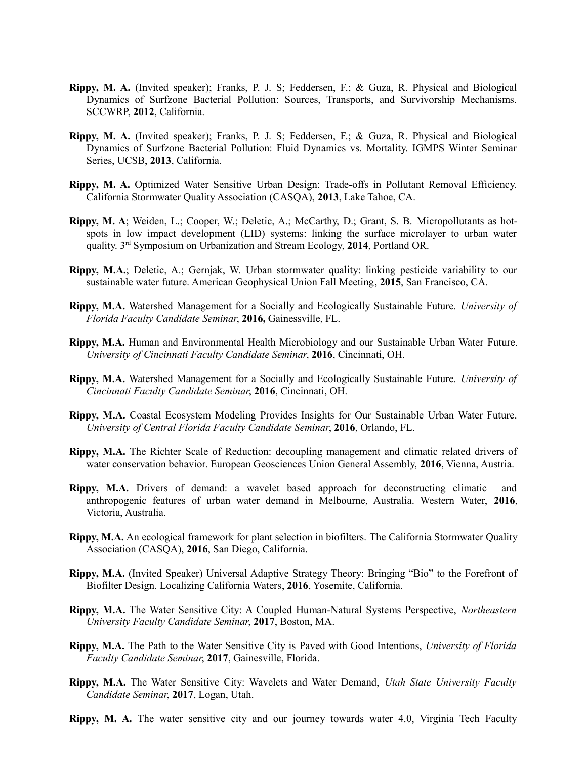- **Rippy, M. A.** (Invited speaker); Franks, P. J. S; Feddersen, F.; & Guza, R. Physical and Biological Dynamics of Surfzone Bacterial Pollution: Sources, Transports, and Survivorship Mechanisms. SCCWRP, **2012**, California.
- **Rippy, M. A.** (Invited speaker); Franks, P. J. S; Feddersen, F.; & Guza, R. Physical and Biological Dynamics of Surfzone Bacterial Pollution: Fluid Dynamics vs. Mortality. IGMPS Winter Seminar Series, UCSB, **2013**, California.
- **Rippy, M. A.** Optimized Water Sensitive Urban Design: Trade-offs in Pollutant Removal Efficiency. California Stormwater Quality Association (CASQA), **2013**, Lake Tahoe, CA.
- **Rippy, M. A**; Weiden, L.; Cooper, W.; Deletic, A.; McCarthy, D.; Grant, S. B. Micropollutants as hotspots in low impact development (LID) systems: linking the surface microlayer to urban water quality. 3rd Symposium on Urbanization and Stream Ecology, **2014**, Portland OR.
- **Rippy, M.A.**; Deletic, A.; Gernjak, W. Urban stormwater quality: linking pesticide variability to our sustainable water future. American Geophysical Union Fall Meeting, **2015**, San Francisco, CA.
- **Rippy, M.A.** Watershed Management for a Socially and Ecologically Sustainable Future. *University of Florida Faculty Candidate Seminar*, **2016,** Gainessville, FL.
- **Rippy, M.A.** Human and Environmental Health Microbiology and our Sustainable Urban Water Future. *University of Cincinnati Faculty Candidate Seminar*, **2016**, Cincinnati, OH.
- **Rippy, M.A.** Watershed Management for a Socially and Ecologically Sustainable Future. *University of Cincinnati Faculty Candidate Seminar*, **2016**, Cincinnati, OH.
- **Rippy, M.A.** Coastal Ecosystem Modeling Provides Insights for Our Sustainable Urban Water Future. *University of Central Florida Faculty Candidate Seminar*, **2016**, Orlando, FL.
- **Rippy, M.A.** The Richter Scale of Reduction: decoupling management and climatic related drivers of water conservation behavior. European Geosciences Union General Assembly, **2016**, Vienna, Austria.
- **Rippy, M.A.** Drivers of demand: a wavelet based approach for deconstructing climatic and anthropogenic features of urban water demand in Melbourne, Australia. Western Water, **2016**, Victoria, Australia.
- **Rippy, M.A.** An ecological framework for plant selection in biofilters. The California Stormwater Quality Association (CASQA), **2016**, San Diego, California.
- **Rippy, M.A.** (Invited Speaker) Universal Adaptive Strategy Theory: Bringing "Bio" to the Forefront of Biofilter Design. Localizing California Waters, **2016**, Yosemite, California.
- **Rippy, M.A.** The Water Sensitive City: A Coupled Human-Natural Systems Perspective, *Northeastern University Faculty Candidate Seminar*, **2017**, Boston, MA.
- **Rippy, M.A.** The Path to the Water Sensitive City is Paved with Good Intentions, *University of Florida Faculty Candidate Seminar*, **2017**, Gainesville, Florida.
- **Rippy, M.A.** The Water Sensitive City: Wavelets and Water Demand, *Utah State University Faculty Candidate Seminar*, **2017**, Logan, Utah.
- **Rippy, M. A.** The water sensitive city and our journey towards water 4.0, Virginia Tech Faculty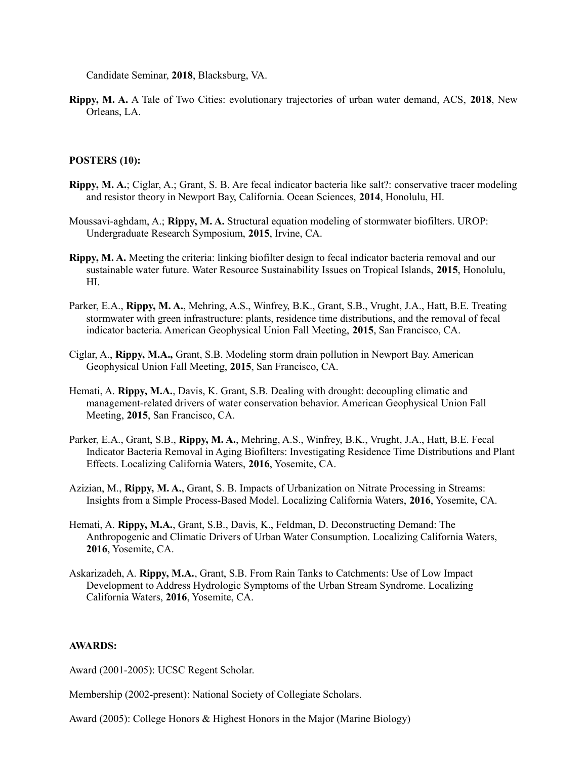Candidate Seminar, **2018**, Blacksburg, VA.

**Rippy, M. A.** A Tale of Two Cities: evolutionary trajectories of urban water demand, ACS, **2018**, New Orleans, LA.

### **POSTERS (10):**

- **Rippy, M. A.**; Ciglar, A.; Grant, S. B. Are fecal indicator bacteria like salt?: conservative tracer modeling and resistor theory in Newport Bay, California. Ocean Sciences, **2014**, Honolulu, HI.
- Moussavi-aghdam, A.; **Rippy, M. A.** Structural equation modeling of stormwater biofilters. UROP: Undergraduate Research Symposium, **2015**, Irvine, CA.
- **Rippy, M. A.** Meeting the criteria: linking biofilter design to fecal indicator bacteria removal and our sustainable water future. Water Resource Sustainability Issues on Tropical Islands, **2015**, Honolulu, HI.
- Parker, E.A., **Rippy, M. A.**, Mehring, A.S., Winfrey, B.K., Grant, S.B., Vrught, J.A., Hatt, B.E. Treating stormwater with green infrastructure: plants, residence time distributions, and the removal of fecal indicator bacteria. American Geophysical Union Fall Meeting, **2015**, San Francisco, CA.
- Ciglar, A., **Rippy, M.A.,** Grant, S.B. Modeling storm drain pollution in Newport Bay. American Geophysical Union Fall Meeting, **2015**, San Francisco, CA.
- Hemati, A. **Rippy, M.A.**, Davis, K. Grant, S.B. Dealing with drought: decoupling climatic and management-related drivers of water conservation behavior. American Geophysical Union Fall Meeting, **2015**, San Francisco, CA.
- Parker, E.A., Grant, S.B., **Rippy, M. A.**, Mehring, A.S., Winfrey, B.K., Vrught, J.A., Hatt, B.E. Fecal Indicator Bacteria Removal in Aging Biofilters: Investigating Residence Time Distributions and Plant Effects. Localizing California Waters, **2016**, Yosemite, CA.
- Azizian, M., **Rippy, M. A.**, Grant, S. B. Impacts of Urbanization on Nitrate Processing in Streams: Insights from a Simple Process-Based Model. Localizing California Waters, **2016**, Yosemite, CA.
- Hemati, A. **Rippy, M.A.**, Grant, S.B., Davis, K., Feldman, D. Deconstructing Demand: The Anthropogenic and Climatic Drivers of Urban Water Consumption. Localizing California Waters, **2016**, Yosemite, CA.
- Askarizadeh, A. **Rippy, M.A.**, Grant, S.B. From Rain Tanks to Catchments: Use of Low Impact Development to Address Hydrologic Symptoms of the Urban Stream Syndrome. Localizing California Waters, **2016**, Yosemite, CA.

#### **AWARDS:**

Award (2001-2005): UCSC Regent Scholar.

Membership (2002-present): National Society of Collegiate Scholars.

Award (2005): College Honors & Highest Honors in the Major (Marine Biology)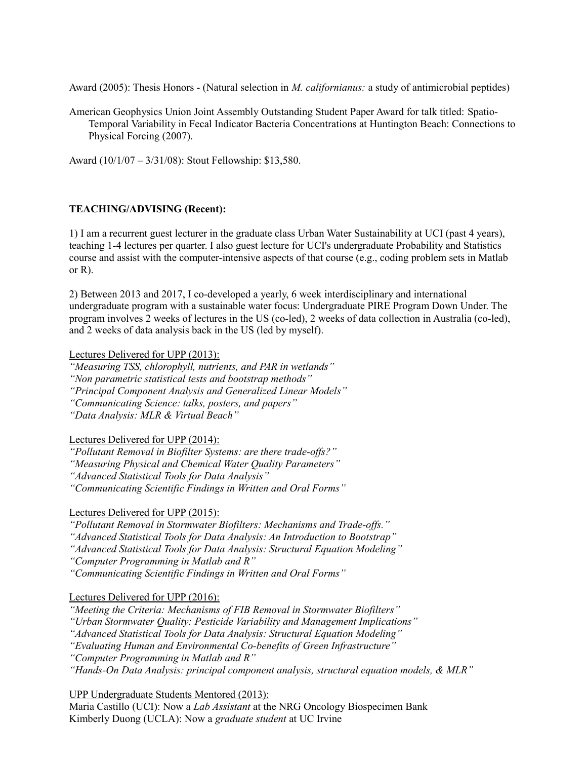Award (2005): Thesis Honors - (Natural selection in *M. californianus:* a study of antimicrobial peptides)

American Geophysics Union Joint Assembly Outstanding Student Paper Award for talk titled: Spatio-Temporal Variability in Fecal Indicator Bacteria Concentrations at Huntington Beach: Connections to Physical Forcing (2007).

Award (10/1/07 – 3/31/08): Stout Fellowship: \$13,580.

# **TEACHING/ADVISING (Recent):**

1) I am a recurrent guest lecturer in the graduate class Urban Water Sustainability at UCI (past 4 years), teaching 1-4 lectures per quarter. I also guest lecture for UCI's undergraduate Probability and Statistics course and assist with the computer-intensive aspects of that course (e.g., coding problem sets in Matlab or R).

2) Between 2013 and 2017, I co-developed a yearly, 6 week interdisciplinary and international undergraduate program with a sustainable water focus: Undergraduate PIRE Program Down Under. The program involves 2 weeks of lectures in the US (co-led), 2 weeks of data collection in Australia (co-led), and 2 weeks of data analysis back in the US (led by myself).

Lectures Delivered for UPP (2013):

*"Measuring TSS, chlorophyll, nutrients, and PAR in wetlands"*

*"Non parametric statistical tests and bootstrap methods"*

*"Principal Component Analysis and Generalized Linear Models"*

*"Communicating Science: talks, posters, and papers"*

*"Data Analysis: MLR & Virtual Beach"*

Lectures Delivered for UPP (2014):

*"Pollutant Removal in Biofilter Systems: are there trade-offs?"*

*"Measuring Physical and Chemical Water Quality Parameters"*

*"Advanced Statistical Tools for Data Analysis"*

*"Communicating Scientific Findings in Written and Oral Forms"*

# Lectures Delivered for UPP (2015):

*"Pollutant Removal in Stormwater Biofilters: Mechanisms and Trade-offs."*

*"Advanced Statistical Tools for Data Analysis: An Introduction to Bootstrap"*

*"Advanced Statistical Tools for Data Analysis: Structural Equation Modeling"*

*"Computer Programming in Matlab and R"* 

*"Communicating Scientific Findings in Written and Oral Forms"*

# Lectures Delivered for UPP (2016):

*"Meeting the Criteria: Mechanisms of FIB Removal in Stormwater Biofilters"*

*"Urban Stormwater Quality: Pesticide Variability and Management Implications"*

*"Advanced Statistical Tools for Data Analysis: Structural Equation Modeling"*

*"Evaluating Human and Environmental Co-benefits of Green Infrastructure"*

*"Computer Programming in Matlab and R"*

*"Hands-On Data Analysis: principal component analysis, structural equation models, & MLR"*

UPP Undergraduate Students Mentored (2013):

Maria Castillo (UCI): Now a *Lab Assistant* at the NRG Oncology Biospecimen Bank Kimberly Duong (UCLA): Now a *graduate student* at UC Irvine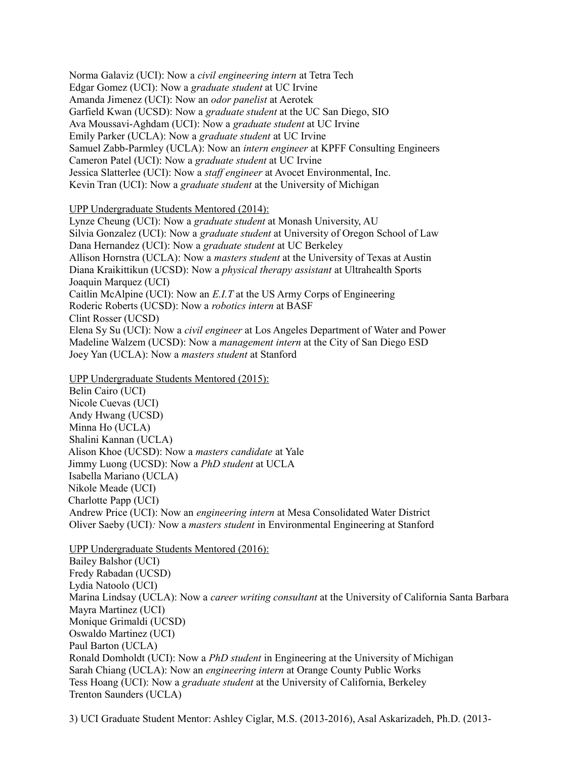Norma Galaviz (UCI): Now a *civil engineering intern* at Tetra Tech Edgar Gomez (UCI): Now a *graduate student* at UC Irvine Amanda Jimenez (UCI): Now an *odor panelist* at Aerotek Garfield Kwan (UCSD): Now a *graduate student* at the UC San Diego, SIO Ava Moussavi-Aghdam (UCI): Now a *graduate student* at UC Irvine Emily Parker (UCLA): Now a *graduate student* at UC Irvine Samuel Zabb-Parmley (UCLA): Now an *intern engineer* at KPFF Consulting Engineers Cameron Patel (UCI): Now a *graduate student* at UC Irvine Jessica Slatterlee (UCI): Now a *staff engineer* at Avocet Environmental, Inc. Kevin Tran (UCI): Now a *graduate student* at the University of Michigan

### UPP Undergraduate Students Mentored (2014):

Lynze Cheung (UCI): Now a *graduate student* at Monash University, AU Silvia Gonzalez (UCI): Now a *graduate student* at University of Oregon School of Law Dana Hernandez (UCI): Now a *graduate student* at UC Berkeley Allison Hornstra (UCLA): Now a *masters student* at the University of Texas at Austin Diana Kraikittikun (UCSD): Now a *physical therapy assistant* at Ultrahealth Sports Joaquin Marquez (UCI) Caitlin McAlpine (UCI): Now an *E.I.T* at the US Army Corps of Engineering Roderic Roberts (UCSD): Now a *robotics intern* at BASF Clint Rosser (UCSD) Elena Sy Su (UCI): Now a *civil engineer* at Los Angeles Department of Water and Power Madeline Walzem (UCSD): Now a *management intern* at the City of San Diego ESD Joey Yan (UCLA): Now a *masters student* at Stanford

UPP Undergraduate Students Mentored (2015):

Belin Cairo (UCI) Nicole Cuevas (UCI) Andy Hwang (UCSD) Minna Ho (UCLA) Shalini Kannan (UCLA) Alison Khoe (UCSD): Now a *masters candidate* at Yale Jimmy Luong (UCSD): Now a *PhD student* at UCLA Isabella Mariano (UCLA) Nikole Meade (UCI) Charlotte Papp (UCI) Andrew Price (UCI): Now an *engineering intern* at Mesa Consolidated Water District Oliver Saeby (UCI)*:* Now a *masters student* in Environmental Engineering at Stanford

UPP Undergraduate Students Mentored (2016): Bailey Balshor (UCI) Fredy Rabadan (UCSD) Lydia Natoolo (UCI) Marina Lindsay (UCLA): Now a *career writing consultant* at the University of California Santa Barbara Mayra Martinez (UCI) Monique Grimaldi (UCSD) Oswaldo Martinez (UCI) Paul Barton (UCLA) Ronald Domholdt (UCI): Now a *PhD student* in Engineering at the University of Michigan Sarah Chiang (UCLA): Now an *engineering intern* at Orange County Public Works Tess Hoang (UCI): Now a *graduate student* at the University of California, Berkeley Trenton Saunders (UCLA)